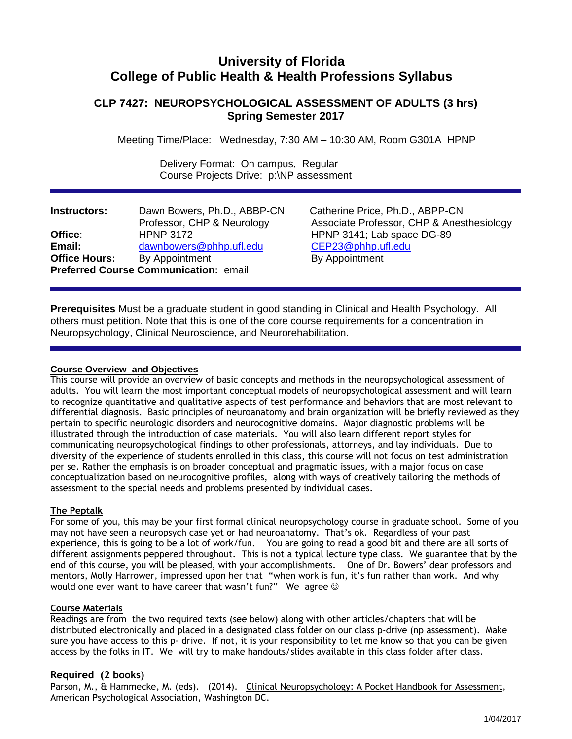# **University of Florida College of Public Health & Health Professions Syllabus**

## **CLP 7427: NEUROPSYCHOLOGICAL ASSESSMENT OF ADULTS (3 hrs) Spring Semester 2017**

Meeting Time/Place: Wednesday, 7:30 AM – 10:30 AM, Room G301A HPNP

 Delivery Format: On campus, Regular Course Projects Drive: p:\NP assessment

| <b>Instructors:</b>  | Dawn Bowers, Ph.D., ABBP-CN                  |
|----------------------|----------------------------------------------|
|                      | Professor, CHP & Neurology                   |
| Office∶              | <b>HPNP 3172</b>                             |
| Email:               | dawnbowers@phhp.ufl.edu                      |
| <b>Office Hours:</b> | By Appointment                               |
|                      | <b>Preferred Course Communication: email</b> |

**Catherine Price, Ph.D., ABPP-CN** Associate Professor, CHP & Anesthesiology **HPNP 3141; Lab space DG-89 Email:** [dawnbowers@phhp.ufl.edu](mailto:dawnbowers@phhp.ufl.edu) CEP23@phhp.ufl.edu **By Appointment** 

**Prerequisites** Must be a graduate student in good standing in Clinical and Health Psychology. All others must petition. Note that this is one of the core course requirements for a concentration in Neuropsychology, Clinical Neuroscience, and Neurorehabilitation.

## **Course Overview and Objectives**

This course will provide an overview of basic concepts and methods in the neuropsychological assessment of adults. You will learn the most important conceptual models of neuropsychological assessment and will learn to recognize quantitative and qualitative aspects of test performance and behaviors that are most relevant to differential diagnosis. Basic principles of neuroanatomy and brain organization will be briefly reviewed as they pertain to specific neurologic disorders and neurocognitive domains. Major diagnostic problems will be illustrated through the introduction of case materials. You will also learn different report styles for communicating neuropsychological findings to other professionals, attorneys, and lay individuals. Due to diversity of the experience of students enrolled in this class, this course will not focus on test administration per se. Rather the emphasis is on broader conceptual and pragmatic issues, with a major focus on case conceptualization based on neurocognitive profiles, along with ways of creatively tailoring the methods of assessment to the special needs and problems presented by individual cases.

## **The Peptalk**

For some of you, this may be your first formal clinical neuropsychology course in graduate school. Some of you may not have seen a neuropsych case yet or had neuroanatomy. That's ok. Regardless of your past experience, this is going to be a lot of work/fun. You are going to read a good bit and there are all sorts of different assignments peppered throughout. This is not a typical lecture type class. We guarantee that by the end of this course, you will be pleased, with your accomplishments. One of Dr. Bowers' dear professors and mentors, Molly Harrower, impressed upon her that "when work is fun, it's fun rather than work. And why would one ever want to have career that wasn't fun?" We agree  $\odot$ 

#### **Course Materials**

Readings are from the two required texts (see below) along with other articles/chapters that will be distributed electronically and placed in a designated class folder on our class p-drive (np assessment). Make sure you have access to this p- drive. If not, it is your responsibility to let me know so that you can be given access by the folks in IT. We will try to make handouts/slides available in this class folder after class.

## **Required (2 books)**

Parson, M., & Hammecke, M. (eds). (2014). Clinical Neuropsychology: A Pocket Handbook for Assessment, American Psychological Association, Washington DC.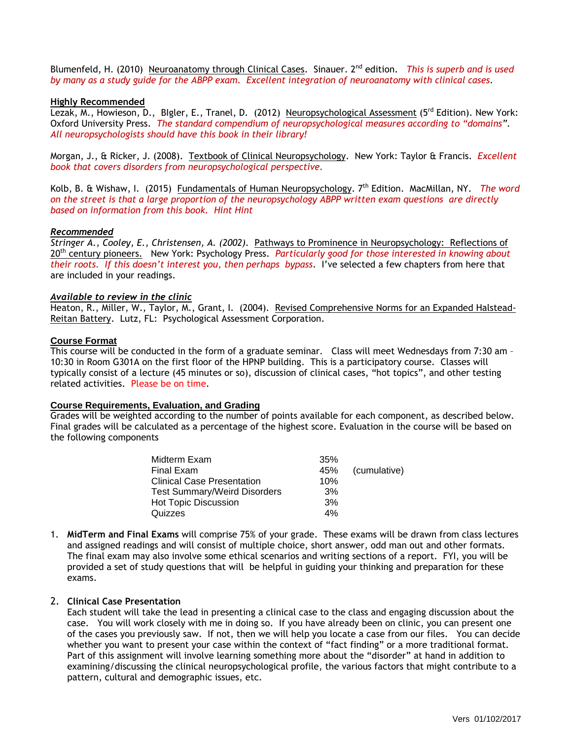Blumenfeld, H. (2010) Neuroanatomy through Clinical Cases. Sinauer. 2<sup>nd</sup> edition. *This is superb and is used by many as a study guide for the ABPP exam. Excellent integration of neuroanatomy with clinical cases.* 

#### **Highly Recommended**

Lezak, M., Howieson, D., Blgler, E., Tranel, D. (2012) Neuropsychological Assessment (5<sup>rd</sup> Edition). New York: Oxford University Press. *The standard compendium of neuropsychological measures according to "domains". All neuropsychologists should have this book in their library!* 

Morgan, J., & Ricker, J. (2008). Textbook of Clinical Neuropsychology. New York: Taylor & Francis. *Excellent book that covers disorders from neuropsychological perspective.*

Kolb, B. & Wishaw, I. (2015) Fundamentals of Human Neuropsychology. 7th Edition. MacMillan, NY. *The word on the street is that a large proportion of the neuropsychology ABPP written exam questions are directly based on information from this book. Hint Hint*

#### *Recommended*

*Stringer A., Cooley, E., Christensen, A. (2002).* Pathways to Prominence in Neuropsychology: Reflections of 20th century pioneers. New York: Psychology Press. *Particularly good for those interested in knowing about their roots. If this doesn't interest you, then perhaps bypass*. I've selected a few chapters from here that are included in your readings.

#### *Available to review in the clinic*

Heaton, R., Miller, W., Taylor, M., Grant, I. (2004). Revised Comprehensive Norms for an Expanded Halstead-Reitan Battery. Lutz, FL: Psychological Assessment Corporation.

### **Course Format**

This course will be conducted in the form of a graduate seminar. Class will meet Wednesdays from 7:30 am – 10:30 in Room G301A on the first floor of the HPNP building. This is a participatory course. Classes will typically consist of a lecture (45 minutes or so), discussion of clinical cases, "hot topics", and other testing related activities. Please be on time.

#### **Course Requirements, Evaluation, and Grading**

Grades will be weighted according to the number of points available for each component, as described below. Final grades will be calculated as a percentage of the highest score. Evaluation in the course will be based on the following components

| Midterm Exam                        | 35% |              |
|-------------------------------------|-----|--------------|
| Final Exam                          | 45% | (cumulative) |
| <b>Clinical Case Presentation</b>   | 10% |              |
| <b>Test Summary/Weird Disorders</b> | 3%  |              |
| <b>Hot Topic Discussion</b>         | 3%  |              |
| Quizzes                             | 4%  |              |

1. **MidTerm and Final Exams** will comprise 75% of your grade. These exams will be drawn from class lectures and assigned readings and will consist of multiple choice, short answer, odd man out and other formats. The final exam may also involve some ethical scenarios and writing sections of a report. FYI, you will be provided a set of study questions that will be helpful in guiding your thinking and preparation for these exams.

## 2. **Clinical Case Presentation**

Each student will take the lead in presenting a clinical case to the class and engaging discussion about the case. You will work closely with me in doing so. If you have already been on clinic, you can present one of the cases you previously saw. If not, then we will help you locate a case from our files. You can decide whether you want to present your case within the context of "fact finding" or a more traditional format. Part of this assignment will involve learning something more about the "disorder" at hand in addition to examining/discussing the clinical neuropsychological profile, the various factors that might contribute to a pattern, cultural and demographic issues, etc.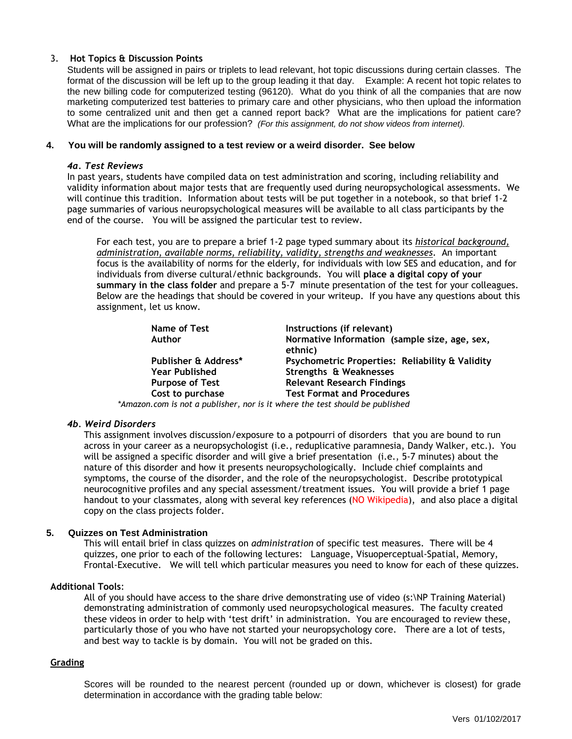#### 3. **Hot Topics & Discussion Points**

Students will be assigned in pairs or triplets to lead relevant, hot topic discussions during certain classes. The format of the discussion will be left up to the group leading it that day. Example: A recent hot topic relates to the new billing code for computerized testing (96120). What do you think of all the companies that are now marketing computerized test batteries to primary care and other physicians, who then upload the information to some centralized unit and then get a canned report back? What are the implications for patient care? What are the implications for our profession? *(For this assignment, do not show videos from internet).*

#### **4. You will be randomly assigned to a test review or a weird disorder. See below**

#### *4a. Test Reviews*

In past years, students have compiled data on test administration and scoring, including reliability and validity information about major tests that are frequently used during neuropsychological assessments. We will continue this tradition. Information about tests will be put together in a notebook, so that brief 1-2 page summaries of various neuropsychological measures will be available to all class participants by the end of the course. You will be assigned the particular test to review.

For each test, you are to prepare a brief 1-2 page typed summary about its *historical background, administration, available norms, reliability, validity, strengths and weaknesses*. An important focus is the availability of norms for the elderly, for individuals with low SES and education, and for individuals from diverse cultural/ethnic backgrounds. You will **place a digital copy of your summary in the class folder** and prepare a 5-7 minute presentation of the test for your colleagues. Below are the headings that should be covered in your writeup. If you have any questions about this assignment, let us know.

| Name of Test           | Instructions (if relevant)                                               |
|------------------------|--------------------------------------------------------------------------|
| <b>Author</b>          | Normative Information (sample size, age, sex,<br>ethnic)                 |
| Publisher & Address*   | Psychometric Properties: Reliability & Validity                          |
| <b>Year Published</b>  | Strengths & Weaknesses                                                   |
| <b>Purpose of Test</b> | <b>Relevant Research Findings</b>                                        |
| Cost to purchase       | <b>Test Format and Procedures</b>                                        |
|                        | on com is not a publisher, nor is it where the test should be published. |

*\*Amazon.com is not a publisher, nor is it where the test should be published* 

#### *4b. Weird Disorders*

This assignment involves discussion/exposure to a potpourri of disorders that you are bound to run across in your career as a neuropsychologist (i.e., reduplicative paramnesia, Dandy Walker, etc.). You will be assigned a specific disorder and will give a brief presentation (i.e., 5-7 minutes) about the nature of this disorder and how it presents neuropsychologically. Include chief complaints and symptoms, the course of the disorder, and the role of the neuropsychologist. Describe prototypical neurocognitive profiles and any special assessment/treatment issues. You will provide a brief 1 page handout to your classmates, along with several key references (NO Wikipedia), and also place a digital copy on the class projects folder.

#### **5. Quizzes on Test Administration**

This will entail brief in class quizzes on *administration* of specific test measures. There will be 4 quizzes, one prior to each of the following lectures: Language, Visuoperceptual-Spatial, Memory, Frontal-Executive. We will tell which particular measures you need to know for each of these quizzes.

#### **Additional Tools**:

All of you should have access to the share drive demonstrating use of video (s:\NP Training Material) demonstrating administration of commonly used neuropsychological measures. The faculty created these videos in order to help with 'test drift' in administration. You are encouraged to review these, particularly those of you who have not started your neuropsychology core. There are a lot of tests, and best way to tackle is by domain. You will not be graded on this.

#### **Grading**

Scores will be rounded to the nearest percent (rounded up or down, whichever is closest) for grade determination in accordance with the grading table below: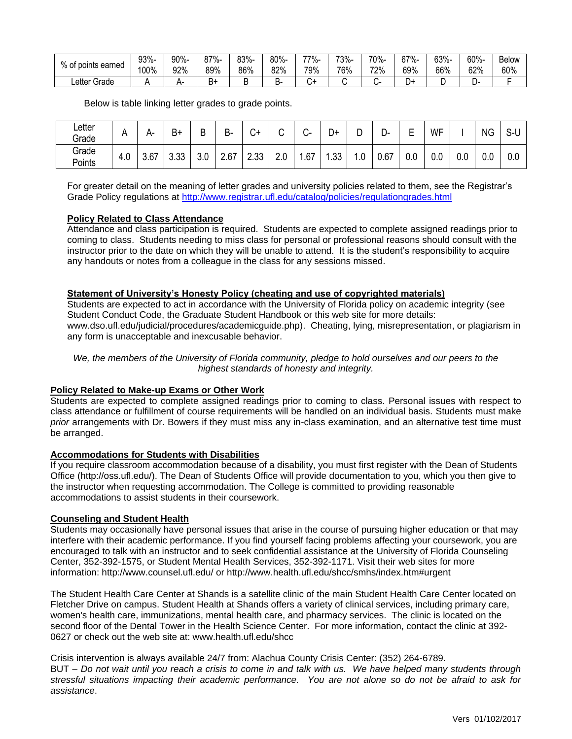| 0/2              | 93%- | 90%- | 87%- | 83%-   | 80%- | 77%- | 73%- | 70%- | $67% -$ | 63%- | 60%- | <b>Below</b> |
|------------------|------|------|------|--------|------|------|------|------|---------|------|------|--------------|
| of points earned | 100% | 92%  | 89%  | 86%    | 82%  | 79%  | 76%  | 72%  | 69%     | 66%  | 62%  | 60%          |
| ∟etter Grade     |      |      | ь    | -<br>- | D.   |      |      |      | بر      | ┕    | ►    |              |

Below is table linking letter grades to grade points.

| ∟etter<br>Grade | . .           | $\mathbf{r}$<br>∸∸ | $B +$         | D<br>◡        | D<br>D- | $\sim$<br>◡∸ | ⌒   | ⌒   | D+  | r<br>◡ | D-   | -<br>-<br>–   | WF  |     | <b>NG</b> | S-U |
|-----------------|---------------|--------------------|---------------|---------------|---------|--------------|-----|-----|-----|--------|------|---------------|-----|-----|-----------|-----|
| Grade<br>Points | $\sim$<br>4.U | 3.67               | . ^^<br>ິບ.ບບ | $\sim$<br>v.v | 2.67    | 2.33         | 2.0 | .67 | .33 | $0$ .  | 0.67 | $\sim$<br>v.v | 0.0 | 0.0 | 0.0       | 0.0 |

For greater detail on the meaning of letter grades and university policies related to them, see the Registrar's Grade Policy regulations at<http://www.registrar.ufl.edu/catalog/policies/regulationgrades.html>

#### **Policy Related to Class Attendance**

Attendance and class participation is required. Students are expected to complete assigned readings prior to coming to class. Students needing to miss class for personal or professional reasons should consult with the instructor prior to the date on which they will be unable to attend. It is the student's responsibility to acquire any handouts or notes from a colleague in the class for any sessions missed.

## **Statement of University's Honesty Policy (cheating and use of copyrighted materials)**

Students are expected to act in accordance with the University of Florida policy on academic integrity (see Student Conduct Code, the Graduate Student Handbook or this web site for more details: www.dso.ufl.edu/judicial/procedures/academicguide.php). Cheating, lying, misrepresentation, or plagiarism in any form is unacceptable and inexcusable behavior.

*We, the members of the University of Florida community, pledge to hold ourselves and our peers to the highest standards of honesty and integrity.*

#### **Policy Related to Make-up Exams or Other Work**

Students are expected to complete assigned readings prior to coming to class. Personal issues with respect to class attendance or fulfillment of course requirements will be handled on an individual basis. Students must make *prior* arrangements with Dr. Bowers if they must miss any in-class examination, and an alternative test time must be arranged.

#### **Accommodations for Students with Disabilities**

If you require classroom accommodation because of a disability, you must first register with the Dean of Students Office (http://oss.ufl.edu/). The Dean of Students Office will provide documentation to you, which you then give to the instructor when requesting accommodation. The College is committed to providing reasonable accommodations to assist students in their coursework.

#### **Counseling and Student Health**

Students may occasionally have personal issues that arise in the course of pursuing higher education or that may interfere with their academic performance. If you find yourself facing problems affecting your coursework, you are encouraged to talk with an instructor and to seek confidential assistance at the University of Florida Counseling Center, 352-392-1575, or Student Mental Health Services, 352-392-1171. Visit their web sites for more information: http://www.counsel.ufl.edu/ or http://www.health.ufl.edu/shcc/smhs/index.htm#urgent

The Student Health Care Center at Shands is a satellite clinic of the main Student Health Care Center located on Fletcher Drive on campus. Student Health at Shands offers a variety of clinical services, including primary care, women's health care, immunizations, mental health care, and pharmacy services. The clinic is located on the second floor of the Dental Tower in the Health Science Center. For more information, contact the clinic at 392- 0627 or check out the web site at: www.health.ufl.edu/shcc

Crisis intervention is always available 24/7 from: Alachua County Crisis Center: (352) 264-6789. BUT – *Do not wait until you reach a crisis to come in and talk with us. We have helped many students through stressful situations impacting their academic performance. You are not alone so do not be afraid to ask for assistance*.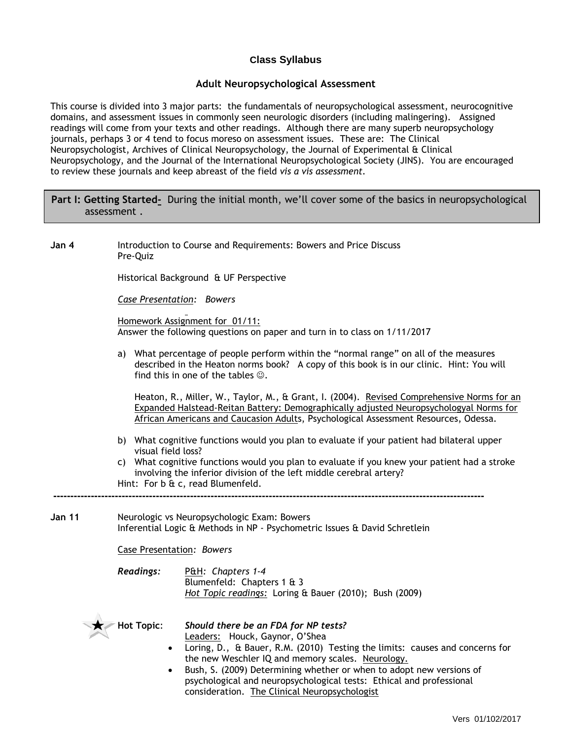## **Class Syllabus**

## **Adult Neuropsychological Assessment**

This course is divided into 3 major parts: the fundamentals of neuropsychological assessment, neurocognitive domains, and assessment issues in commonly seen neurologic disorders (including malingering). Assigned readings will come from your texts and other readings. Although there are many superb neuropsychology journals, perhaps 3 or 4 tend to focus moreso on assessment issues. These are: The Clinical Neuropsychologist, Archives of Clinical Neuropsychology, the Journal of Experimental & Clinical Neuropsychology, and the Journal of the International Neuropsychological Society (JINS). You are encouraged to review these journals and keep abreast of the field *vis a vis assessment.*

## **Part I: Getting Started***-* During the initial month, we'll cover some of the basics in neuropsychological assessment .

**Jan 4** Introduction to Course and Requirements: Bowers and Price Discuss Pre-Quiz

Historical Background & UF Perspective

*Case Presentation: Bowers*

Homework Assignment for 01/11: Answer the following questions on paper and turn in to class on 1/11/2017

a) What percentage of people perform within the "normal range" on all of the measures described in the Heaton norms book? A copy of this book is in our clinic. Hint: You will find this in one of the tables  $\odot$ .

Heaton, R., Miller, W., Taylor, M., & Grant, I. (2004). Revised Comprehensive Norms for an Expanded Halstead-Reitan Battery: Demographically adjusted Neuropsychologyal Norms for African Americans and Caucasion Adults, Psychological Assessment Resources, Odessa.

- b) What cognitive functions would you plan to evaluate if your patient had bilateral upper visual field loss?
- c) What cognitive functions would you plan to evaluate if you knew your patient had a stroke involving the inferior division of the left middle cerebral artery? Hint: For b & c, read Blumenfeld.
- **Jan 11** Neurologic vs Neuropsychologic Exam: Bowers Inferential Logic & Methods in NP - Psychometric Issues & David Schretlein

Case Presentation*: Bowers* 

*Readings:* P&H*: Chapters 1-4* Blumenfeld: Chapters 1 & 3 *Hot Topic readings:* Loring & Bauer (2010); Bush (2009)

**------------------------------------------------------------------------------------------------------------------------------**



**Hot Topic**: *Should there be an FDA for NP tests?*

Leaders: Houck, Gaynor, O'Shea

- Loring, D., & Bauer, R.M. (2010) Testing the limits: causes and concerns for the new Weschler IQ and memory scales. Neurology.
- Bush, S. (2009) Determining whether or when to adopt new versions of psychological and neuropsychological tests: Ethical and professional consideration. The Clinical Neuropsychologist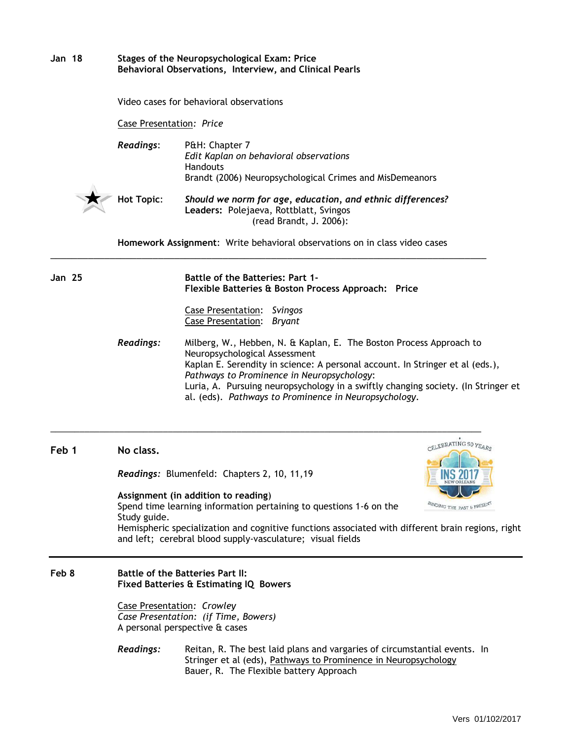| <b>Jan 18</b> | Stages of the Neuropsychological Exam: Price<br>Behavioral Observations, Interview, and Clinical Pearls                                                                                                                                                                                                                                                                                               |                                                                                                                                                                                                              |  |  |  |  |  |  |  |
|---------------|-------------------------------------------------------------------------------------------------------------------------------------------------------------------------------------------------------------------------------------------------------------------------------------------------------------------------------------------------------------------------------------------------------|--------------------------------------------------------------------------------------------------------------------------------------------------------------------------------------------------------------|--|--|--|--|--|--|--|
|               | Video cases for behavioral observations                                                                                                                                                                                                                                                                                                                                                               |                                                                                                                                                                                                              |  |  |  |  |  |  |  |
|               | Case Presentation: Price                                                                                                                                                                                                                                                                                                                                                                              |                                                                                                                                                                                                              |  |  |  |  |  |  |  |
|               | <b>Readings:</b><br>P&H: Chapter 7<br>Edit Kaplan on behavioral observations<br><b>Handouts</b><br>Brandt (2006) Neuropsychological Crimes and MisDemeanors                                                                                                                                                                                                                                           |                                                                                                                                                                                                              |  |  |  |  |  |  |  |
|               | <b>Hot Topic:</b>                                                                                                                                                                                                                                                                                                                                                                                     | Should we norm for age, education, and ethnic differences?<br>Leaders: Polejaeva, Rottblatt, Svingos<br>(read Brandt, J. 2006):                                                                              |  |  |  |  |  |  |  |
|               |                                                                                                                                                                                                                                                                                                                                                                                                       | Homework Assignment: Write behavioral observations on in class video cases                                                                                                                                   |  |  |  |  |  |  |  |
| <b>Jan 25</b> |                                                                                                                                                                                                                                                                                                                                                                                                       | <b>Battle of the Batteries: Part 1-</b><br>Flexible Batteries & Boston Process Approach: Price                                                                                                               |  |  |  |  |  |  |  |
|               |                                                                                                                                                                                                                                                                                                                                                                                                       | Case Presentation: Svingos<br><b>Case Presentation:</b><br><b>Bryant</b>                                                                                                                                     |  |  |  |  |  |  |  |
|               | <b>Readings:</b><br>Milberg, W., Hebben, N. & Kaplan, E. The Boston Process Approach to<br>Neuropsychological Assessment<br>Kaplan E. Serendity in science: A personal account. In Stringer et al (eds.),<br>Pathways to Prominence in Neuropsychology:<br>Luria, A. Pursuing neuropsychology in a swiftly changing society. (In Stringer et<br>al. (eds). Pathways to Prominence in Neuropsychology. |                                                                                                                                                                                                              |  |  |  |  |  |  |  |
| Feb 1         | No class.                                                                                                                                                                                                                                                                                                                                                                                             | CELEBRATING 50 YEAR                                                                                                                                                                                          |  |  |  |  |  |  |  |
|               |                                                                                                                                                                                                                                                                                                                                                                                                       | Readings: Blumenfeld: Chapters 2, 10, 11, 19<br><b>NEW ORLEANS</b><br>Assignment (in addition to reading)<br>BINDING THE PAST & PRESEN<br>Spend time learning information pertaining to questions 1-6 on the |  |  |  |  |  |  |  |
|               | Study guide.<br>Hemispheric specialization and cognitive functions associated with different brain regions, right<br>and left; cerebral blood supply-vasculature; visual fields                                                                                                                                                                                                                       |                                                                                                                                                                                                              |  |  |  |  |  |  |  |
| Feb 8         | <b>Battle of the Batteries Part II:</b><br>Fixed Batteries & Estimating IQ Bowers                                                                                                                                                                                                                                                                                                                     |                                                                                                                                                                                                              |  |  |  |  |  |  |  |
|               |                                                                                                                                                                                                                                                                                                                                                                                                       | <b>Case Presentation: Crowley</b><br>Case Presentation: (if Time, Bowers)<br>A personal perspective & cases                                                                                                  |  |  |  |  |  |  |  |
|               | Readings:                                                                                                                                                                                                                                                                                                                                                                                             | Reitan, R. The best laid plans and vargaries of circumstantial events. In<br>Stringer et al (eds), Pathways to Prominence in Neuropsychology<br>Bauer, R. The Flexible battery Approach                      |  |  |  |  |  |  |  |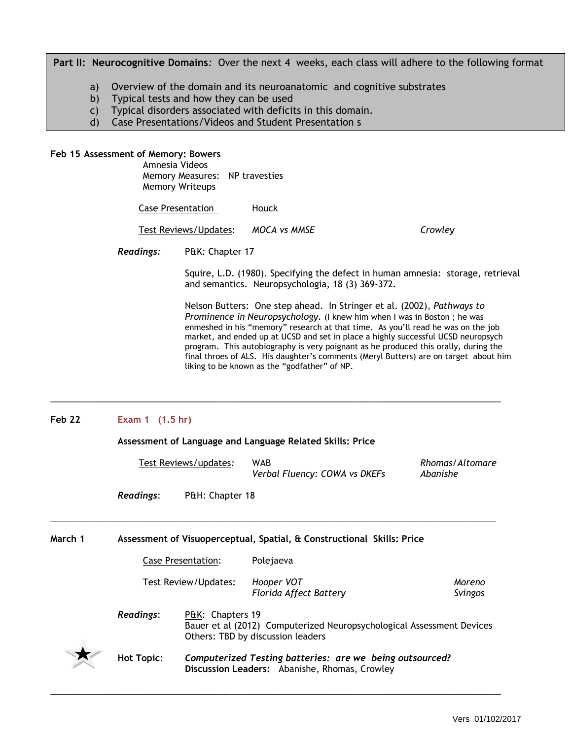Part II: Neurocognitive Domains: Over the next 4 weeks, each class will adhere to the following format

- a) Overview of the domain and its neuroanatomic and cognitive substrates
- b) Typical tests and how they can be used
- c) Typical disorders associated with deficits in this domain.
- d) Case Presentations/Videos and Student Presentation s

#### **Feb 15 Assessment of Memory: Bowers**

Amnesia Videos Memory Measures: NP travesties Memory Writeups

Case Presentation Houck

Test Reviews/Updates: *MOCA vs MMSE* Crowley

*Readings:* P&K: Chapter 17

Squire, L.D. (1980). Specifying the defect in human amnesia: storage, retrieval and semantics. Neuropsychologia, 18 (3) 369-372.

Nelson Butters: One step ahead. In Stringer et al. (2002), *Pathways to Prominence in Neuropsychology.* (I knew him when I was in Boston ; he was enmeshed in his "memory" research at that time. As you'll read he was on the job market, and ended up at UCSD and set in place a highly successful UCSD neuropsych program. This autobiography is very poignant as he produced this orally, during the final throes of ALS. His daughter's comments (Meryl Butters) are on target about him liking to be known as the "godfather" of NP.

#### **Feb 22 Exam 1 (1.5 hr)**

**Assessment of Language and Language Related Skills: Price**

 $\_$  ,  $\_$  ,  $\_$  ,  $\_$  ,  $\_$  ,  $\_$  ,  $\_$  ,  $\_$  ,  $\_$  ,  $\_$  ,  $\_$  ,  $\_$  ,  $\_$  ,  $\_$  ,  $\_$  ,  $\_$  ,  $\_$  ,  $\_$  ,  $\_$  ,  $\_$  ,  $\_$  ,  $\_$  ,  $\_$  ,  $\_$  ,  $\_$  ,  $\_$  ,  $\_$  ,  $\_$  ,  $\_$  ,  $\_$  ,  $\_$  ,  $\_$  ,  $\_$  ,  $\_$  ,  $\_$  ,  $\_$  ,  $\_$  ,

 $\_$  ,  $\_$  ,  $\_$  ,  $\_$  ,  $\_$  ,  $\_$  ,  $\_$  ,  $\_$  ,  $\_$  ,  $\_$  ,  $\_$  ,  $\_$  ,  $\_$  ,  $\_$  ,  $\_$  ,  $\_$  ,  $\_$  ,  $\_$  ,  $\_$  ,  $\_$  ,  $\_$  ,  $\_$  ,  $\_$  ,  $\_$  ,  $\_$  ,  $\_$  ,  $\_$  ,  $\_$  ,  $\_$  ,  $\_$  ,  $\_$  ,  $\_$  ,  $\_$  ,  $\_$  ,  $\_$  ,  $\_$  ,  $\_$  ,

Test Reviews/updates*:* WAB *Rhomas/Altomare Verbal Fluency: COWA vs DKEFs Abanishe* 

*Readings*: P&H: Chapter 18

**March 1 Assessment of Visuoperceptual, Spatial, & Constructional Skills: Price**

|  | Case Presentation: | Polejaeva |
|--|--------------------|-----------|
|--|--------------------|-----------|

Test Review/Updates: *Hooper VOT Moreno* 

*Florida Affect Battery Svingos*

 *Readings*: P&K: Chapters 19 Bauer et al (2012) Computerized Neuropsychological Assessment Devices Others: TBD by discussion leaders



 $\_$  ,  $\_$  ,  $\_$  ,  $\_$  ,  $\_$  ,  $\_$  ,  $\_$  ,  $\_$  ,  $\_$  ,  $\_$  ,  $\_$  ,  $\_$  ,  $\_$  ,  $\_$  ,  $\_$  ,  $\_$  ,  $\_$  ,  $\_$  ,  $\_$  ,  $\_$  ,  $\_$  ,  $\_$  ,  $\_$  ,  $\_$  ,  $\_$  ,  $\_$  ,  $\_$  ,  $\_$  ,  $\_$  ,  $\_$  ,  $\_$  ,  $\_$  ,  $\_$  ,  $\_$  ,  $\_$  ,  $\_$  ,  $\_$  ,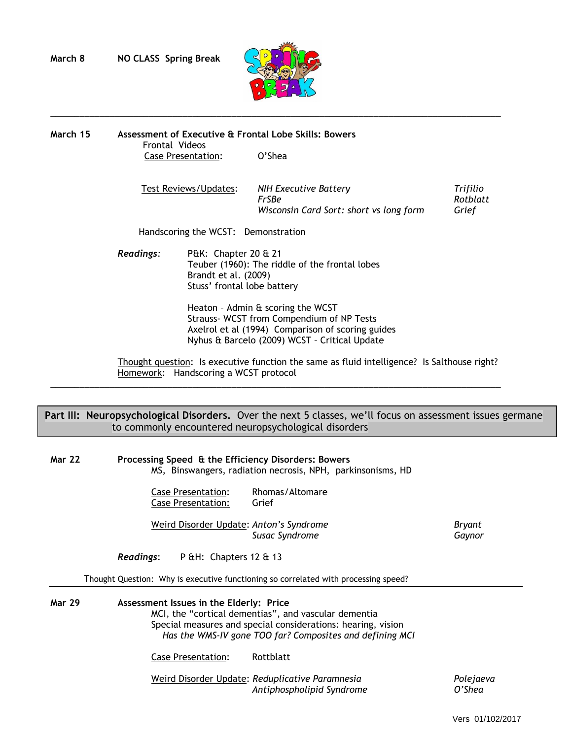

 $\_$  ,  $\_$  ,  $\_$  ,  $\_$  ,  $\_$  ,  $\_$  ,  $\_$  ,  $\_$  ,  $\_$  ,  $\_$  ,  $\_$  ,  $\_$  ,  $\_$  ,  $\_$  ,  $\_$  ,  $\_$  ,  $\_$  ,  $\_$  ,  $\_$  ,  $\_$  ,  $\_$  ,  $\_$  ,  $\_$  ,  $\_$  ,  $\_$  ,  $\_$  ,  $\_$  ,  $\_$  ,  $\_$  ,  $\_$  ,  $\_$  ,  $\_$  ,  $\_$  ,  $\_$  ,  $\_$  ,  $\_$  ,  $\_$  ,

**March 15 Assessment of Executive & Frontal Lobe Skills: Bowers** Frontal Videos Case Presentation: O'Shea

> Test Reviews/Updates: *NIH Executive Battery Trifilio FrSBe* Rotblatt<br>Wisconsin Card Sort: short vs long form Grief *Wisconsin Card Sort: short vs long form*

Handscoring the WCST: Demonstration

*Readings:* P&K: Chapter 20 & 21 Teuber (1960): The riddle of the frontal lobes Brandt et al. (2009) Stuss' frontal lobe battery

> Heaton – Admin & scoring the WCST Strauss- WCST from Compendium of NP Tests Axelrol et al (1994) Comparison of scoring guides Nyhus & Barcelo (2009) WCST – Critical Update

 Thought question: Is executive function the same as fluid intelligence? Is Salthouse right? Homework: Handscoring a WCST protocol

## Part III: Neuropsychological Disorders. Over the next 5 classes, we'll focus on assessment issues germane to commonly encountered neuropsychological disorders

 $\_$  ,  $\_$  ,  $\_$  ,  $\_$  ,  $\_$  ,  $\_$  ,  $\_$  ,  $\_$  ,  $\_$  ,  $\_$  ,  $\_$  ,  $\_$  ,  $\_$  ,  $\_$  ,  $\_$  ,  $\_$  ,  $\_$  ,  $\_$  ,  $\_$  ,  $\_$  ,  $\_$  ,  $\_$  ,  $\_$  ,  $\_$  ,  $\_$  ,  $\_$  ,  $\_$  ,  $\_$  ,  $\_$  ,  $\_$  ,  $\_$  ,  $\_$  ,  $\_$  ,  $\_$  ,  $\_$  ,  $\_$  ,  $\_$  ,

| <b>Mar 22</b> | Processing Speed & the Efficiency Disorders: Bowers<br>MS, Binswangers, radiation necrosis, NPH, parkinsonisms, HD                                                                                                          |                  |
|---------------|-----------------------------------------------------------------------------------------------------------------------------------------------------------------------------------------------------------------------------|------------------|
|               | Rhomas/Altomare<br><b>Case Presentation:</b><br>Case Presentation:<br>Grief                                                                                                                                                 |                  |
|               | Weird Disorder Update: Anton's Syndrome<br>Susac Syndrome                                                                                                                                                                   | Bryant<br>Gaynor |
|               | <b>Readings:</b> $P \& H$ : Chapters 12 $\&$ 13                                                                                                                                                                             |                  |
|               | Thought Question: Why is executive functioning so correlated with processing speed?                                                                                                                                         |                  |
| <b>Mar 29</b> | Assessment Issues in the Elderly: Price<br>MCI, the "cortical dementias", and vascular dementia<br>Special measures and special considerations: hearing, vision<br>Has the WMS-IV gone TOO far? Composites and defining MCI |                  |
|               | Rottblatt<br><b>Case Presentation:</b>                                                                                                                                                                                      |                  |
|               | Weird Disorder Update: Reduplicative Paramnesia                                                                                                                                                                             | Poleiaeva        |

*Antiphospholipid Syndrome O'Shea*

Vers 01/102/2017